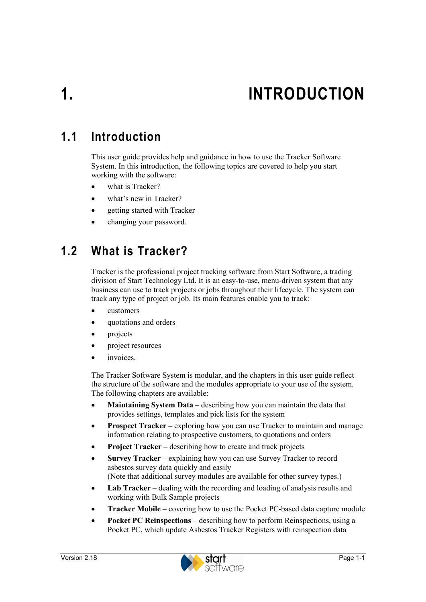# **1. INTRODUCTION**

# **1.1 Introduction**

This user guide provides help and guidance in how to use the Tracker Software System. In this introduction, the following topics are covered to help you start working with the software:

- what is Tracker?
- what's new in Tracker?
- getting started with Tracker
- changing your password.

# **1.2 What is Tracker?**

Tracker is the professional project tracking software from Start Software, a trading division of Start Technology Ltd. It is an easy-to-use, menu-driven system that any business can use to track projects or jobs throughout their lifecycle. The system can track any type of project or job. Its main features enable you to track:

- customers
- quotations and orders
- projects
- project resources
- *invoices*

The Tracker Software System is modular, and the chapters in this user guide reflect the structure of the software and the modules appropriate to your use of the system. The following chapters are available:

- **Maintaining System Data** describing how you can maintain the data that provides settings, templates and pick lists for the system
- **Prospect Tracker** exploring how you can use Tracker to maintain and manage information relating to prospective customers, to quotations and orders
- **Project Tracker** describing how to create and track projects
- **Survey Tracker** explaining how you can use Survey Tracker to record asbestos survey data quickly and easily (Note that additional survey modules are available for other survey types.)
- **Lab Tracker** dealing with the recording and loading of analysis results and working with Bulk Sample projects
- **Tracker Mobile** covering how to use the Pocket PC-based data capture module
- **Pocket PC Reinspections**  describing how to perform Reinspections, using a Pocket PC, which update Asbestos Tracker Registers with reinspection data

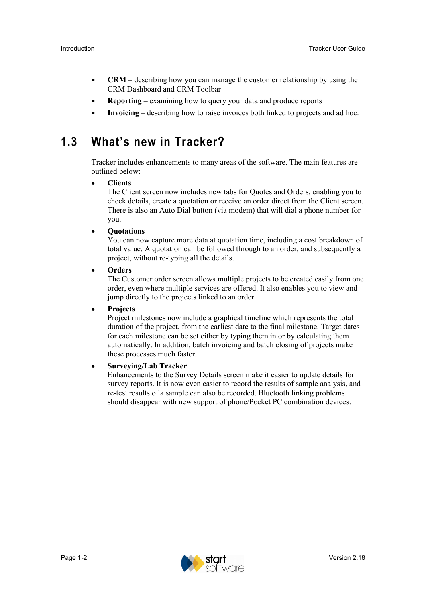- **CRM** describing how you can manage the customer relationship by using the CRM Dashboard and CRM Toolbar
- **Reporting** examining how to query your data and produce reports
- **Invoicing**  describing how to raise invoices both linked to projects and ad hoc.

# **1.3 What's new in Tracker?**

Tracker includes enhancements to many areas of the software. The main features are outlined below:

#### • **Clients**

The Client screen now includes new tabs for Quotes and Orders, enabling you to check details, create a quotation or receive an order direct from the Client screen. There is also an Auto Dial button (via modem) that will dial a phone number for you.

• **Quotations**

You can now capture more data at quotation time, including a cost breakdown of total value. A quotation can be followed through to an order, and subsequently a project, without re-typing all the details.

• **Orders**

The Customer order screen allows multiple projects to be created easily from one order, even where multiple services are offered. It also enables you to view and jump directly to the projects linked to an order.

#### • **Projects**

Project milestones now include a graphical timeline which represents the total duration of the project, from the earliest date to the final milestone. Target dates for each milestone can be set either by typing them in or by calculating them automatically. In addition, batch invoicing and batch closing of projects make these processes much faster.

#### • **Surveying/Lab Tracker**

Enhancements to the Survey Details screen make it easier to update details for survey reports. It is now even easier to record the results of sample analysis, and re-test results of a sample can also be recorded. Bluetooth linking problems should disappear with new support of phone/Pocket PC combination devices.

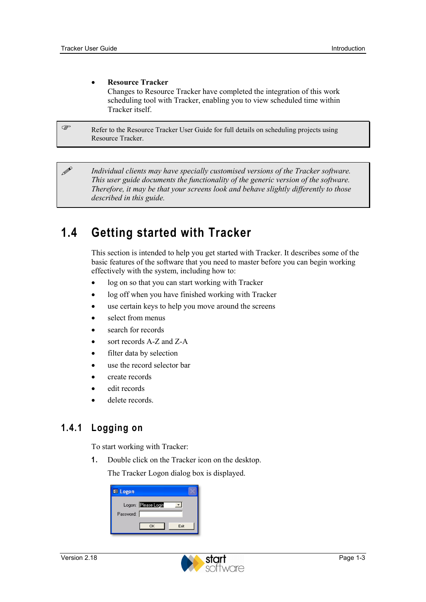**P** 

#### • **Resource Tracker**

Changes to Resource Tracker have completed the integration of this work scheduling tool with Tracker, enabling you to view scheduled time within Tracker itself.

Refer to the Resource Tracker User Guide for full details on scheduling projects using Resource Tracker.

 *Individual clients may have specially customised versions of the Tracker software. This user guide documents the functionality of the generic version of the software. Therefore, it may be that your screens look and behave slightly differently to those described in this guide.* 

# **1.4 Getting started with Tracker**

This section is intended to help you get started with Tracker. It describes some of the basic features of the software that you need to master before you can begin working effectively with the system, including how to:

- log on so that you can start working with Tracker
- log off when you have finished working with Tracker
- use certain keys to help you move around the screens
- select from menus
- search for records
- sort records A-Z and Z-A
- filter data by selection
- use the record selector bar
- create records
- edit records
- delete records.

### **1.4.1 Logging on**

To start working with Tracker:

**1.** Double click on the Tracker icon on the desktop.

The Tracker Logon dialog box is displayed.

| <b>EB</b> Logon |                     |      |
|-----------------|---------------------|------|
| Password:       | Logon: Please Login |      |
|                 | OK                  | Exit |

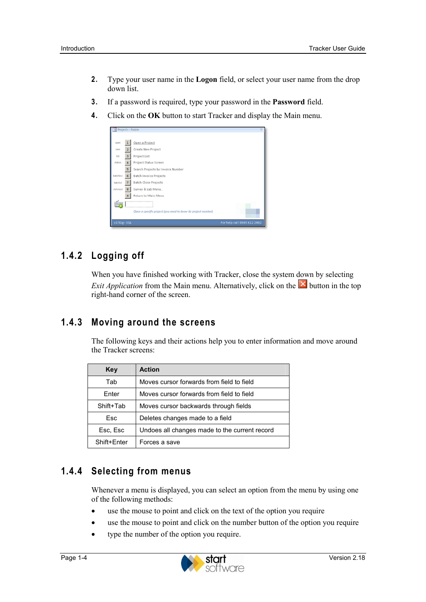- **2.** Type your user name in the **Logon** field, or select your user name from the drop down list.
- **3.** If a password is required, type your password in the **Password** field.
- **4.** Click on the **OK** button to start Tracker and display the Main menu.

| = Projects - Robin |                |                                                               |                             |
|--------------------|----------------|---------------------------------------------------------------|-----------------------------|
|                    |                |                                                               |                             |
| open               | $\mathbf{1}$   | Open a Project                                                |                             |
| new                | $\overline{2}$ | Create New Project                                            |                             |
| list               | $\mathbf{3}$   | Project List                                                  |                             |
| status             | $\overline{4}$ | Project Status Screen                                         |                             |
|                    | 5              | Search Projects by Invoice Number                             |                             |
| batchinv           | 6              | Batch Invoice Projects                                        |                             |
| batchel            | $\overline{7}$ | Batch Close Projects                                          |                             |
| surveys            | $^{\rm 8}$     | Survey & Lab Menu                                             |                             |
|                    | $\mathbf{9}$   | Return to Main Menu                                           |                             |
|                    |                |                                                               |                             |
|                    |                | Open a specific project (you need to know its project number) |                             |
| $v2.51g - SQL$     |                |                                                               | For help call 0845 612 2402 |

## **1.4.2 Logging off**

When you have finished working with Tracker, close the system down by selecting *Exit Application* from the Main menu. Alternatively, click on the **X** button in the top right-hand corner of the screen.

### **1.4.3 Moving around the screens**

The following keys and their actions help you to enter information and move around the Tracker screens:

| Key         | <b>Action</b>                                 |  |
|-------------|-----------------------------------------------|--|
| Tab         | Moves cursor forwards from field to field     |  |
| Enter       | Moves cursor forwards from field to field     |  |
| Shift+Tab   | Moves cursor backwards through fields         |  |
| Esc         | Deletes changes made to a field               |  |
| Esc, Esc    | Undoes all changes made to the current record |  |
| Shift+Enter | Forces a save                                 |  |

### **1.4.4 Selecting from menus**

Whenever a menu is displayed, you can select an option from the menu by using one of the following methods:

- use the mouse to point and click on the text of the option you require
- use the mouse to point and click on the number button of the option you require
- type the number of the option you require.

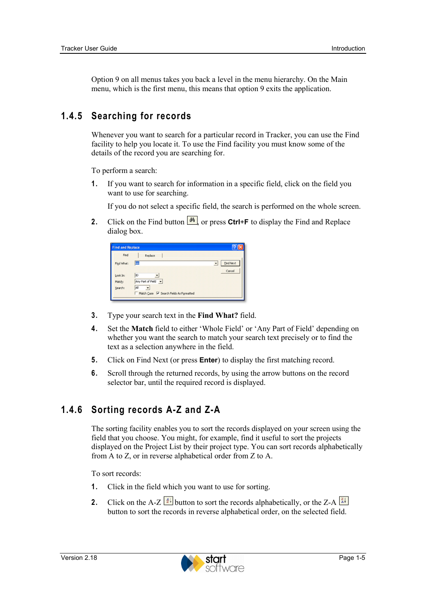Option 9 on all menus takes you back a level in the menu hierarchy. On the Main menu, which is the first menu, this means that option 9 exits the application.

### **1.4.5 Searching for records**

Whenever you want to search for a particular record in Tracker, you can use the Find facility to help you locate it. To use the Find facility you must know some of the details of the record you are searching for.

To perform a search:

**1.** If you want to search for information in a specific field, click on the field you want to use for searching.

If you do not select a specific field, the search is performed on the whole screen.

**2.** Click on the Find button  $\frac{M}{r}$  or press Ctrl+**F** to display the Find and Replace dialog box.

| Find               | Replace                   |                                              |
|--------------------|---------------------------|----------------------------------------------|
| Find What:         | kim                       | <b>Find Next</b><br>$\overline{\phantom{a}}$ |
| Look In:<br>Match: | ID<br>Any Part of Field - | Cancel                                       |
| Search:            | All                       |                                              |

- **3.** Type your search text in the **Find What?** field.
- **4.** Set the **Match** field to either 'Whole Field' or 'Any Part of Field' depending on whether you want the search to match your search text precisely or to find the text as a selection anywhere in the field.
- **5.** Click on Find Next (or press **Enter**) to display the first matching record.
- **6.** Scroll through the returned records, by using the arrow buttons on the record selector bar, until the required record is displayed.

### **1.4.6 Sorting records A-Z and Z-A**

The sorting facility enables you to sort the records displayed on your screen using the field that you choose. You might, for example, find it useful to sort the projects displayed on the Project List by their project type. You can sort records alphabetically from A to Z, or in reverse alphabetical order from Z to A.

To sort records:

- **1.** Click in the field which you want to use for sorting.
- **2.** Click on the A-Z  $\frac{24}{5}$  button to sort the records alphabetically, or the Z-A  $\frac{24}{5}$ button to sort the records in reverse alphabetical order, on the selected field.

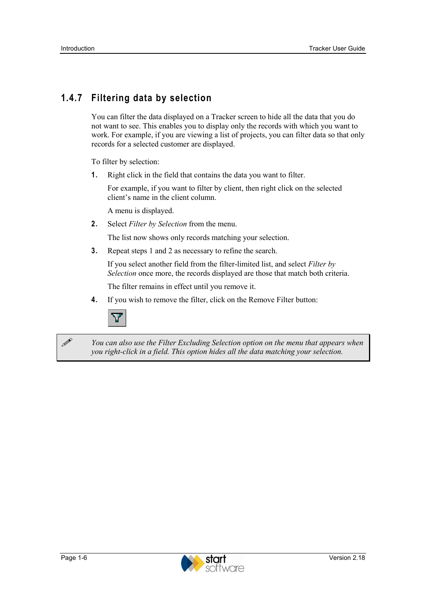# **1.4.7 Filtering data by selection**

You can filter the data displayed on a Tracker screen to hide all the data that you do not want to see. This enables you to display only the records with which you want to work. For example, if you are viewing a list of projects, you can filter data so that only records for a selected customer are displayed.

To filter by selection:

**1.** Right click in the field that contains the data you want to filter.

For example, if you want to filter by client, then right click on the selected client's name in the client column.

A menu is displayed.

**2.** Select *Filter by Selection* from the menu.

The list now shows only records matching your selection.

**3.** Repeat steps 1 and 2 as necessary to refine the search.

If you select another field from the filter-limited list, and select *Filter by Selection* once more, the records displayed are those that match both criteria.

The filter remains in effect until you remove it.

**4.** If you wish to remove the filter, click on the Remove Filter button:



 *You can also use the Filter Excluding Selection option on the menu that appears when you right-click in a field. This option hides all the data matching your selection.* 

**1** 

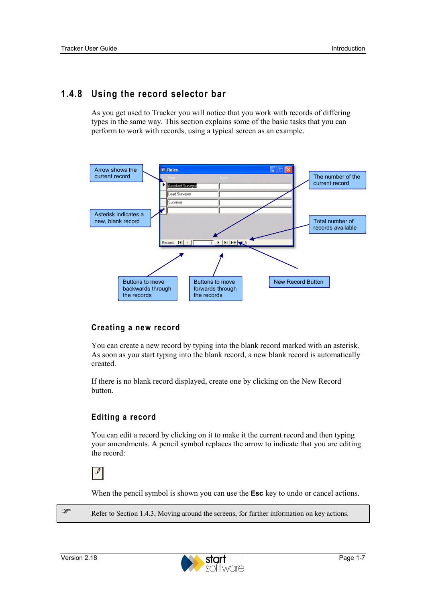### **1.4.8 Using the record selector bar**

As you get used to Tracker you will notice that you work with records of differing types in the same way. This section explains some of the basic tasks that you can perform to work with records, using a typical screen as an example.



#### **Creating a new record**

You can create a new record by typing into the blank record marked with an asterisk. As soon as you start typing into the blank record, a new blank record is automatically created.

If there is no blank record displayed, create one by clicking on the New Record button.

#### **Editing a record**

You can edit a record by clicking on it to make it the current record and then typing your amendments. A pencil symbol replaces the arrow to indicate that you are editing the record:

 $\mathcal{I}$ 

When the pencil symbol is shown you can use the **Esc** key to undo or cancel actions.

Refer to Section 1.4.3, Moving around the screens, for further information on key actions.